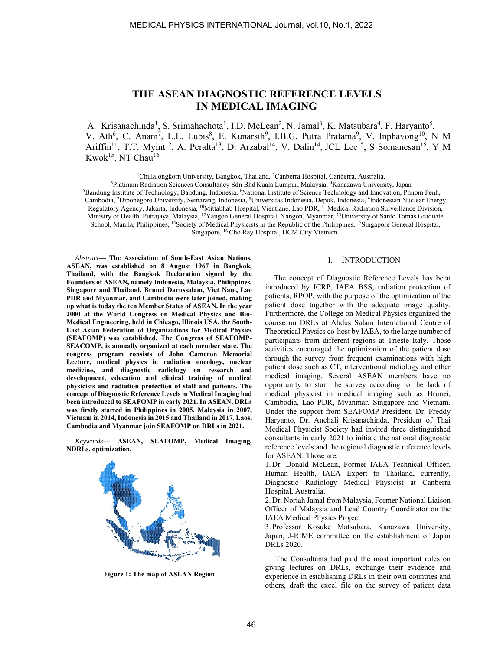# **THE ASEAN DIAGNOSTIC REFERENCE LEVELS IN MEDICAL IMAGING**

A. Krisanachinda<sup>1</sup>, S. Srimahachota<sup>1</sup>, I.D. McLean<sup>2</sup>, N. Jamal<sup>3</sup>, K. Matsubara<sup>4</sup>, F. Haryanto<sup>5</sup>, V. Ath<sup>6</sup>, C. Anam<sup>7</sup>, L.E. Lubis<sup>8</sup>, E. Kunarsih<sup>9</sup>, I.B.G. Putra Pratama<sup>9</sup>, V. Inphavong<sup>10</sup>, N M Ariffin<sup>11</sup>, T.T. Myint<sup>12</sup>, A. Peralta<sup>13</sup>, D. Arzabal<sup>14</sup>, V. Dalin<sup>14</sup>, JCL Lee<sup>15</sup>, S Somanesan<sup>15</sup>, Y M Kwok<sup>15</sup>, NT Chau<sup>16</sup>

<sup>1</sup>Chulalongkorn University, Bangkok, Thailand, <sup>2</sup>Canberra Hospital, Canberra, Australia,

<sup>3</sup>Platinum Radiation Sciences Consultancy Sdn Bhd Kuala Lumpur, Malaysia, <sup>4</sup>Kanazawa University, Japan <sup>3</sup>Platinum Radiation Sciences Consultancy Sdn Bhd Kuala Lumpur, Malaysia, <sup>4</sup>Kanazawa University, Japan<br>5Bandung Institute of Technology, Bandung, Indonesia, <sup>6</sup>National Institute of Science Technology and Innovation, Phn Cambodia, 7Diponegoro University, Semarang, Indonesia, 8Universitas Indonesia, Depok, Indonesia, 9Indonesian Nuclear Energy Regulatory Agency, Jakarta, Indonesia, <sup>10</sup>Mittabhab Hospital, Vientiane, Lao PDR, <sup>11</sup> Medical Radiation Surveillance Division, Ministry of Health, Putrajaya, Malaysia, 12Yangon General Hospital, Yangon, Myanmar, 13University of Santo Tomas Graduate School, Manila, Philippines, <sup>14</sup>Society of Medical Physicists in the Republic of the Philippines, <sup>15</sup>Singapore General Hospital, Singapore, 16 Cho Ray Hospital, HCM City Vietnam.

*Abstract***— The Association of South-East Asian Nations, ASEAN, was established on 8 August 1967 in Bangkok, Thailand, with the Bangkok Declaration signed by the Founders of ASEAN, namely Indonesia, Malaysia, Philippines, Singapore and Thailand. Brunei Darussalam, Viet Nam, Lao PDR and Myanmar, and Cambodia were later joined, making up what is today the ten Member States of ASEAN. In the year 2000 at the World Congress on Medical Physics and Bio-Medical Engineering, held in Chicago, Illinois USA, the South-East Asian Federation of Organizations for Medical Physics (SEAFOMP) was established. The Congress of SEAFOMP-SEACOMP, is annually organized at each member state. The congress program consists of John Cameron Memorial Lecture, medical physics in radiation oncology, nuclear medicine, and diagnostic radiology on research and development, education and clinical training of medical physicists and radiation protection of staff and patients. The concept of Diagnostic Reference Levels in Medical Imaging had been introduced to SEAFOMP in early 2021. In ASEAN, DRLs was firstly started in Philippines in 2005, Malaysia in 2007, Vietnam in 2014, Indonesia in 2015 and Thailand in 2017. Laos, Cambodia and Myanmar join SEAFOMP on DRLs in 2021.** 

*Keywords***— ASEAN, SEAFOMP, Medical Imaging, NDRLs, optimization.** 



**Figure 1: The map of ASEAN Region** 

#### I. INTRODUCTION

The concept of Diagnostic Reference Levels has been introduced by ICRP, IAEA BSS, radiation protection of patients, RPOP, with the purpose of the optimization of the patient dose together with the adequate image quality. Furthermore, the College on Medical Physics organized the course on DRLs at Abdus Salam International Centre of Theoretical Physics co-host by IAEA, to the large number of participants from different regions at Trieste Italy. Those activities encouraged the optimization of the patient dose through the survey from frequent examinations with high patient dose such as CT, interventional radiology and other medical imaging. Several ASEAN members have no opportunity to start the survey according to the lack of medical physicist in medical imaging such as Brunei, Cambodia, Lao PDR, Myanmar, Singapore and Vietnam. Under the support from SEAFOMP President, Dr. Freddy Haryanto, Dr. Anchali Krisanachinda, President of Thai Medical Physicist Society had invited three distinguished consultants in early 2021 to initiate the national diagnostic reference levels and the regional diagnostic reference levels for ASEAN. Those are:

1. Dr. Donald McLean, Former IAEA Technical Officer, Human Health, IAEA Expert to Thailand, currently, Diagnostic Radiology Medical Physicist at Canberra Hospital, Australia.

2. Dr. Noriah Jamal from Malaysia, Former National Liaison Officer of Malaysia and Lead Country Coordinator on the IAEA Medical Physics Project

3. Professor Kosuke Matsubara, Kanazawa University, Japan, J-RIME committee on the establishment of Japan DRLs 2020.

The Consultants had paid the most important roles on giving lectures on DRLs, exchange their evidence and experience in establishing DRLs in their own countries and others, draft the excel file on the survey of patient data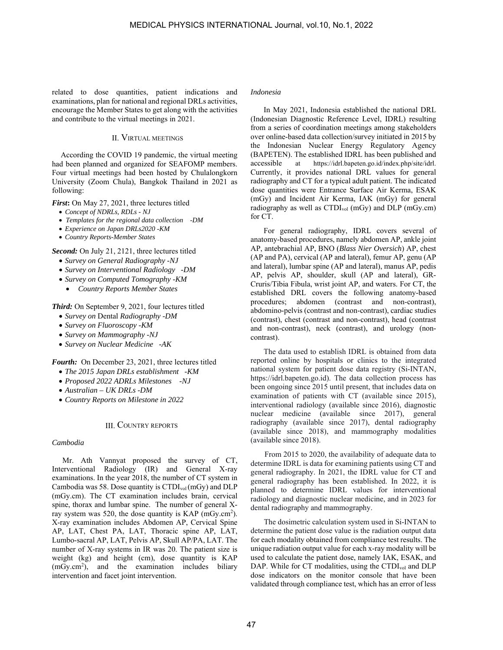related to dose quantities, patient indications and examinations, plan for national and regional DRLs activities, encourage the Member States to get along with the activities and contribute to the virtual meetings in 2021.

# II. VIRTUAL MEETINGS

According the COVID 19 pandemic, the virtual meeting had been planned and organized for SEAFOMP members. Four virtual meetings had been hosted by Chulalongkorn University (Zoom Chula), Bangkok Thailand in 2021 as following:

*First***:** On May 27, 2021, three lectures titled

- *Concept of NDRLs, RDLs NJ*
- *Templates for the regional data collection* -*DM*
- *Experience on Japan DRLs2020* -*KM*
- *Country Reports-Member States*

# *Second:* On July 21, 2121, three lectures titled

- *Survey on General Radiography -NJ*
- *Survey on Interventional Radiology -DM*
- *Survey on Computed Tomography -KM*
- *Country Reports Member States*

# *Third:* On September 9, 2021, four lectures titled

- *Survey on* Dental *Radiography -DM*
- *Survey on Fluoroscopy -KM*
- *Survey on Mammography -NJ*
- *Survey on Nuclear Medicine -AK*

*Fourth:* On December 23, 2021, three lectures titled

- *The 2015 Japan DRLs establishment -KM*
- *Proposed 2022 ADRLs Milestones -NJ*
- *Australian UK DRLs -DM*
- *Country Reports on Milestone in 2022*

## III. COUNTRY REPORTS

## *Cambodia*

Mr. Ath Vannyat proposed the survey of CT, Interventional Radiology (IR) and General X-ray examinations. In the year 2018, the number of CT system in Cambodia was 58. Dose quantity is  $\text{CTDI}_{\text{vol}}(\text{mGy})$  and  $\text{DLP}$ (mGy.cm). The CT examination includes brain, cervical spine, thorax and lumbar spine. The number of general Xray system was 520, the dose quantity is  $KAP$  (mGy.cm<sup>2</sup>). X-ray examination includes Abdomen AP, Cervical Spine AP, LAT, Chest PA, LAT, Thoracic spine AP, LAT, Lumbo-sacral AP, LAT, Pelvis AP, Skull AP/PA, LAT. The number of X-ray systems in IR was 20. The patient size is weight (kg) and height (cm), dose quantity is KAP (mGy.cm<sup>2</sup>), and the examination includes biliary intervention and facet joint intervention.

## *Indonesia*

 In May 2021, Indonesia established the national DRL (Indonesian Diagnostic Reference Level, IDRL) resulting from a series of coordination meetings among stakeholders over online-based data collection/survey initiated in 2015 by the Indonesian Nuclear Energy Regulatory Agency (BAPETEN). The established IDRL has been published and accessible at https://idrl.bapeten.go.id/index.php/site/idrl. Currently, it provides national DRL values for general radiography and CT for a typical adult patient. The indicated dose quantities were Entrance Surface Air Kerma, ESAK (mGy) and Incident Air Kerma, IAK (mGy) for general radiography as well as  $CTDI_{vol}$  (mGy) and DLP (mGy.cm) for CT.

 For general radiography, IDRL covers several of anatomy-based procedures, namely abdomen AP, ankle joint AP, antebrachial AP, BNO (*Blass Nier Oversich*) AP, chest (AP and PA), cervical (AP and lateral), femur AP, genu (AP and lateral), lumbar spine (AP and lateral), manus AP, pedis AP, pelvis AP, shoulder, skull (AP and lateral), GR-Cruris/Tibia Fibula, wrist joint AP, and waters. For CT, the established DRL covers the following anatomy-based procedures; abdomen (contrast and non-contrast), abdomino-pelvis (contrast and non-contrast), cardiac studies (contrast), chest (contrast and non-contrast), head (contrast and non-contrast), neck (contrast), and urology (noncontrast).

The data used to establish IDRL is obtained from data reported online by hospitals or clinics to the integrated national system for patient dose data registry (Si-INTAN, https://idrl.bapeten.go.id). The data collection process has been ongoing since 2015 until present, that includes data on examination of patients with CT (available since 2015), interventional radiology (available since 2016), diagnostic nuclear medicine (available since 2017), general radiography (available since 2017), dental radiography (available since 2018), and mammography modalities (available since 2018).

 From 2015 to 2020, the availability of adequate data to determine IDRL is data for examining patients using CT and general radiography. In 2021, the IDRL value for CT and general radiography has been established. In 2022, it is planned to determine IDRL values for interventional radiology and diagnostic nuclear medicine, and in 2023 for dental radiography and mammography.

 The dosimetric calculation system used in Si-INTAN to determine the patient dose value is the radiation output data for each modality obtained from compliance test results. The unique radiation output value for each x-ray modality will be used to calculate the patient dose, namely IAK, ESAK, and DAP. While for CT modalities, using the CTDI<sub>vol</sub> and DLP dose indicators on the monitor console that have been validated through compliance test, which has an error of less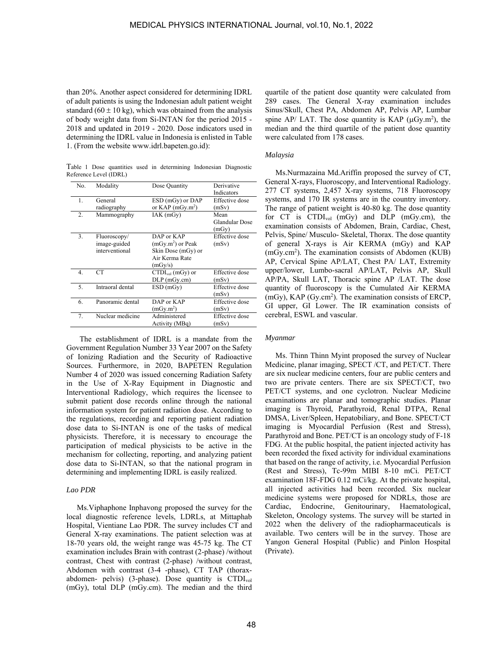than 20%. Another aspect considered for determining IDRL of adult patients is using the Indonesian adult patient weight standard ( $60 \pm 10$  kg), which was obtained from the analysis of body weight data from Si-INTAN for the period 2015 - 2018 and updated in 2019 - 2020. Dose indicators used in determining the IDRL value in Indonesia is enlisted in Table 1. (From the website www.idrl.bapeten.go.id):

Table 1 Dose quantities used in determining Indonesian Diagnostic Reference Level (IDRL)

| No. | Modality         | Dose Quantity                       | Derivative     |
|-----|------------------|-------------------------------------|----------------|
|     |                  |                                     | Indicators     |
| 1.  | General          | ESD (mGy) or DAP                    | Effective dose |
|     | radiography      | or $KAP$ (mGy.m <sup>2</sup> )      | (mSv)          |
| 2.  | Mammography      | IAK(mGy)                            | Mean           |
|     |                  |                                     | Glandular Dose |
|     |                  |                                     | (mGy)          |
| 3.  | Fluoroscopy/     | DAP or KAP                          | Effective dose |
|     | image-guided     | $(mGy.m2)$ or Peak                  | (mSv)          |
|     | interventional   | Skin Dose (mGy) or                  |                |
|     |                  | Air Kerma Rate                      |                |
|     |                  | (mGy/s)                             |                |
| 4.  | CT.              | $\text{CTDI}_{\text{vol}}$ (mGy) or | Effective dose |
|     |                  | $DLP$ (mGy.cm)                      | (mSv)          |
| 5.  | Intraoral dental | ESD(mGy)                            | Effective dose |
|     |                  |                                     | (mSv)          |
| 6.  | Panoramic dental | DAP or KAP                          | Effective dose |
|     |                  | (mGy.m <sup>2</sup> )               | (mSv)          |
| 7.  | Nuclear medicine | Administered                        | Effective dose |
|     |                  | Activity (MBq)                      | (mSv)          |
|     |                  |                                     |                |

 The establishment of IDRL is a mandate from the Government Regulation Number 33 Year 2007 on the Safety of Ionizing Radiation and the Security of Radioactive Sources. Furthermore, in 2020, BAPETEN Regulation Number 4 of 2020 was issued concerning Radiation Safety in the Use of X-Ray Equipment in Diagnostic and Interventional Radiology, which requires the licensee to submit patient dose records online through the national information system for patient radiation dose. According to the regulations, recording and reporting patient radiation dose data to Si-INTAN is one of the tasks of medical physicists. Therefore, it is necessary to encourage the participation of medical physicists to be active in the mechanism for collecting, reporting, and analyzing patient dose data to Si-INTAN, so that the national program in determining and implementing IDRL is easily realized.

## *Lao PDR*

Ms.Viphaphone Inphavong proposed the survey for the local diagnostic reference levels, LDRLs, at Mittaphab Hospital, Vientiane Lao PDR. The survey includes CT and General X-ray examinations. The patient selection was at 18-70 years old, the weight range was 45-75 kg. The CT examination includes Brain with contrast (2-phase) /without contrast, Chest with contrast (2-phase) /without contrast, Abdomen with contrast (3-4 -phase), CT TAP (thoraxabdomen- pelvis) (3-phase). Dose quantity is CTDIvol (mGy), total DLP (mGy.cm). The median and the third

quartile of the patient dose quantity were calculated from 289 cases. The General X-ray examination includes Sinus/Skull, Chest PA, Abdomen AP, Pelvis AP, Lumbar spine AP/ LAT. The dose quantity is KAP  $(\mu Gy.m^2)$ , the median and the third quartile of the patient dose quantity were calculated from 178 cases.

## *Malaysia*

Ms.Nurmazaina Md.Ariffin proposed the survey of CT, General X-rays, Fluoroscopy, and Interventional Radiology. 277 CT systems, 2,457 X-ray systems, 718 Fluoroscopy systems, and 170 IR systems are in the country inventory. The range of patient weight is 40-80 kg. The dose quantity for CT is CTDIvol (mGy) and DLP (mGy.cm), the examination consists of Abdomen, Brain, Cardiac, Chest, Pelvis, Spine/ Musculo- Skeletal, Thorax. The dose quantity of general X-rays is Air KERMA (mGy) and KAP (mGy.cm2 ). The examination consists of Abdomen (KUB) AP, Cervical Spine AP/LAT, Chest PA/ LAT, Extremity upper/lower, Lumbo-sacral AP/LAT, Pelvis AP, Skull AP/PA, Skull LAT, Thoracic spine AP /LAT. The dose quantity of fluoroscopy is the Cumulated Air KERMA (mGy), KAP (Gy.cm2 ). The examination consists of ERCP, GI upper, GI Lower. The IR examination consists of cerebral, ESWL and vascular.

## *Myanmar*

Ms. Thinn Thinn Myint proposed the survey of Nuclear Medicine, planar imaging, SPECT /CT, and PET/CT. There are six nuclear medicine centers, four are public centers and two are private centers. There are six SPECT/CT, two PET/CT systems, and one cyclotron. Nuclear Medicine examinations are planar and tomographic studies. Planar imaging is Thyroid, Parathyroid, Renal DTPA, Renal DMSA, Liver/Spleen, Hepatobiliary, and Bone. SPECT/CT imaging is Myocardial Perfusion (Rest and Stress), Parathyroid and Bone. PET/CT is an oncology study of F-18 FDG. At the public hospital, the patient injected activity has been recorded the fixed activity for individual examinations that based on the range of activity, i.e. Myocardial Perfusion (Rest and Stress), Tc-99m MIBI 8-10 mCi. PET/CT examination 18F-FDG 0.12 mCi/kg. At the private hospital, all injected activities had been recorded. Six nuclear medicine systems were proposed for NDRLs, those are Cardiac, Endocrine, Genitourinary, Haematological, Skeleton, Oncology systems. The survey will be started in 2022 when the delivery of the radiopharmaceuticals is available. Two centers will be in the survey. Those are Yangon General Hospital (Public) and Pinlon Hospital (Private).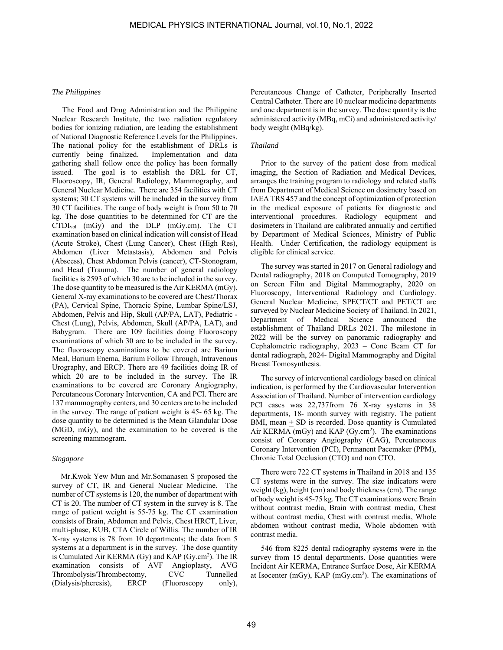#### *The Philippines*

The Food and Drug Administration and the Philippine Nuclear Research Institute, the two radiation regulatory bodies for ionizing radiation, are leading the establishment of National Diagnostic Reference Levels for the Philippines. The national policy for the establishment of DRLs is currently being finalized. Implementation and data gathering shall follow once the policy has been formally issued. The goal is to establish the DRL for CT, Fluoroscopy, IR, General Radiology, Mammography, and General Nuclear Medicine. There are 354 facilities with CT systems; 30 CT systems will be included in the survey from 30 CT facilities. The range of body weight is from 50 to 70 kg. The dose quantities to be determined for CT are the CTDIvol (mGy) and the DLP (mGy.cm). The CT examination based on clinical indication will consist of Head (Acute Stroke), Chest (Lung Cancer), Chest (High Res), Abdomen (Liver Metastasis), Abdomen and Pelvis (Abscess), Chest Abdomen Pelvis (cancer), CT-Stonogram, and Head (Trauma). The number of general radiology facilities is 2593 of which 30 are to be included in the survey. The dose quantity to be measured is the Air KERMA (mGy). General X-ray examinations to be covered are Chest/Thorax (PA), Cervical Spine, Thoracic Spine, Lumbar Spine/LSJ, Abdomen, Pelvis and Hip, Skull (AP/PA, LAT), Pediatric - Chest (Lung), Pelvis, Abdomen, Skull (AP/PA, LAT), and Babygram. There are 109 facilities doing Fluoroscopy examinations of which 30 are to be included in the survey. The fluoroscopy examinations to be covered are Barium Meal, Barium Enema, Barium Follow Through, Intravenous Urography, and ERCP. There are 49 facilities doing IR of which 20 are to be included in the survey. The IR examinations to be covered are Coronary Angiography, Percutaneous Coronary Intervention, CA and PCI. There are 137 mammography centers, and 30 centers are to be included in the survey. The range of patient weight is 45- 65 kg. The dose quantity to be determined is the Mean Glandular Dose (MGD, mGy), and the examination to be covered is the screening mammogram.

# *Singapore*

 Mr.Kwok Yew Mun and Mr.Somanasen S proposed the survey of CT, IR and General Nuclear Medicine. The number of CT systems is 120, the number of department with CT is 20. The number of CT system in the survey is 8. The range of patient weight is 55-75 kg. The CT examination consists of Brain, Abdomen and Pelvis, Chest HRCT, Liver, multi-phase, KUB, CTA Circle of Willis. The number of IR X-ray systems is 78 from 10 departments; the data from 5 systems at a department is in the survey. The dose quantity is Cumulated Air KERMA (Gy) and KAP (Gy.cm<sup>2</sup>). The IR examination consists of AVF Angioplasty, AVG Thrombolysis/Thrombectomy, CVC Tunnelled (Dialysis/pheresis), ERCP (Fluoroscopy only),

Percutaneous Change of Catheter, Peripherally Inserted Central Catheter. There are 10 nuclear medicine departments and one department is in the survey. The dose quantity is the administered activity (MBq, mCi) and administered activity/ body weight (MBq/kg).

## *Thailand*

Prior to the survey of the patient dose from medical imaging, the Section of Radiation and Medical Devices, arranges the training program to radiology and related staffs from Department of Medical Science on dosimetry based on IAEA TRS 457 and the concept of optimization of protection in the medical exposure of patients for diagnostic and interventional procedures. Radiology equipment and dosimeters in Thailand are calibrated annually and certified by Department of Medical Sciences, Ministry of Public Health. Under Certification, the radiology equipment is eligible for clinical service.

The survey was started in 2017 on General radiology and Dental radiography, 2018 on Computed Tomography, 2019 on Screen Film and Digital Mammography, 2020 on Fluoroscopy, Interventional Radiology and Cardiology. General Nuclear Medicine, SPECT/CT and PET/CT are surveyed by Nuclear Medicine Society of Thailand. In 2021, Department of Medical Science announced the establishment of Thailand DRLs 2021. The milestone in 2022 will be the survey on panoramic radiography and Cephalometric radiography, 2023 – Cone Beam CT for dental radiograph, 2024- Digital Mammography and Digital Breast Tomosynthesis.

The survey of interventional cardiology based on clinical indication, is performed by the Cardiovascular Intervention Association of Thailand. Number of intervention cardiology PCI cases was 22,737from 76 X-ray systems in 38 departments, 18- month survey with registry. The patient BMI, mean  $\pm$  SD is recorded. Dose quantity is Cumulated Air KERMA ( $mGy$ ) and KAP ( $Gy.cm<sup>2</sup>$ ). The examinations consist of Coronary Angiography (CAG), Percutaneous Coronary Intervention (PCI), Permanent Pacemaker (PPM), Chronic Total Occlusion (CTO) and non CTO.

There were 722 CT systems in Thailand in 2018 and 135 CT systems were in the survey. The size indicators were weight (kg), height (cm) and body thickness (cm). The range of body weight is 45-75 kg. The CT examinations were Brain without contrast media, Brain with contrast media, Chest without contrast media, Chest with contrast media, Whole abdomen without contrast media, Whole abdomen with contrast media.

546 from 8225 dental radiography systems were in the survey from 15 dental departments. Dose quantities were Incident Air KERMA, Entrance Surface Dose, Air KERMA at Isocenter (mGy), KAP (mGy.cm<sup>2</sup>). The examinations of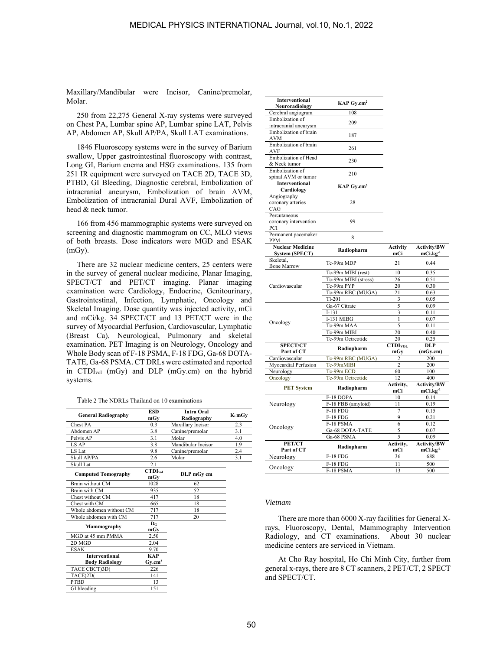Maxillary/Mandibular were Incisor, Canine/premolar, Molar.

250 from 22,275 General X-ray systems were surveyed on Chest PA, Lumbar spine AP, Lumbar spine LAT, Pelvis AP, Abdomen AP, Skull AP/PA, Skull LAT examinations.

1846 Fluoroscopy systems were in the survey of Barium swallow, Upper gastrointestinal fluoroscopy with contrast, Long GI, Barium enema and HSG examinations. 135 from 251 IR equipment were surveyed on TACE 2D, TACE 3D, PTBD, GI Bleeding, Diagnostic cerebral, Embolization of intracranial aneurysm, Embolization of brain AVM, Embolization of intracranial Dural AVF, Embolization of head & neck tumor.

166 from 456 mammographic systems were surveyed on screening and diagnostic mammogram on CC, MLO views of both breasts. Dose indicators were MGD and ESAK (mGy).

There are 32 nuclear medicine centers, 25 centers were in the survey of general nuclear medicine, Planar Imaging, SPECT/CT and PET/CT imaging. Planar imaging examination were Cardiology, Endocrine, Genitourinary, Gastrointestinal, Infection, Lymphatic, Oncology and Skeletal Imaging. Dose quantity was injected activity, mCi and mCi/kg. 34 SPECT/CT and 13 PET/CT were in the survey of Myocardial Perfusion, Cardiovascular, Lymphatic (Breast Ca), Neurological, Pulmonary and skeletal examination. PET Imaging is on Neurology, Oncology and Whole Body scan of F-18 PSMA, F-18 FDG, Ga-68 DOTA-TATE, Ga-68 PSMA. CT DRLs were estimated and reported in CTDIvol (mGy) and DLP (mGy.cm) on the hybrid systems.

Table 2 The NDRLs Thailand on 10 examinations

| <b>General Radiography</b> | ESD<br>mGv          | Intra Oral<br>Radiography | $K_i$ m $Gv$ |
|----------------------------|---------------------|---------------------------|--------------|
| Chest PA                   | 0.3                 | Maxillary Incisor         | 2.3          |
| Abdomen AP                 | 3.8                 | Canine/premolar           | 3.1          |
| Pelvis AP                  | 3.1                 | Molar                     | 4.0          |
| LS AP                      | 3.8                 | Mandibular Incisor<br>1.9 |              |
| LS Lat                     | 9.8                 | Canine/premolar<br>2.4    |              |
| Skull AP/PA                | 2.6                 | Molar                     | 3.1          |
| Skull Lat                  | 2.1                 |                           |              |
| <b>Computed Tomography</b> | CTDI <sub>vol</sub> | DLP mGy cm                |              |
|                            | mGv                 |                           |              |
| Brain without CM           | 1028                | 62                        |              |
| Brain with CM              | 935                 | 52                        |              |
| Chest without CM           | 417                 | 18                        |              |
| Chest with CM              | 665                 | 18                        |              |
| Whole abdomen without CM   | 717                 | 18                        |              |
| Whole abdomen with CM      | 717                 | 20                        |              |
| Mammography                | $\bm{D}$ G          |                           |              |
|                            | mGv                 |                           |              |
| MGD at 45 mm PMMA          | 2.50                |                           |              |
| 2D MGD                     | 2.04                |                           |              |
| <b>ESAK</b>                | 9.70                |                           |              |
| <b>Interventional</b>      | <b>KAP</b>          |                           |              |
| <b>Body Radiology</b>      | $Gv.cm^2$           |                           |              |
| TACE CBCT)3D(              | 226                 |                           |              |
| TACE)2D(                   | 141                 |                           |              |
| <b>PTBD</b>                | 13                  |                           |              |
| GI bleeding                | 151                 |                           |              |

| Interventional<br>Neuroradiology                 | KAP Gy.cm <sup>2</sup>   |                            |                                            |
|--------------------------------------------------|--------------------------|----------------------------|--------------------------------------------|
| Cerebral angiogram                               | 108                      |                            |                                            |
| Embolization of                                  |                          |                            |                                            |
| intracranial aneurysm                            | 209                      |                            |                                            |
| Embolization of brain<br>AVM                     | 187                      |                            |                                            |
| Embolization of brain<br>AVF                     | 261                      |                            |                                            |
| Embolization of Head<br>& Neck tumor             | 230                      |                            |                                            |
| Embolization of<br>spinal AVM or tumor           | 210                      |                            |                                            |
| <b>Interventional</b><br>Cardiology              | KAP Gy.cm <sup>2</sup>   |                            |                                            |
| Angiography<br>coronary arteries<br>CAG          | 28                       |                            |                                            |
| Percutaneous<br>coronary intervention<br>PCI     | 99                       |                            |                                            |
| Permanent pacemaker<br><b>PPM</b>                | 8                        |                            |                                            |
| <b>Nuclear Medicine</b><br><b>System (SPECT)</b> | Radiopharm               | Activity<br>mCi            | Activity/BW<br>mCi.kg <sup>-1</sup>        |
| Skeletal,<br><b>Bone Marrow</b>                  | Tc-99m MDP               | 21                         | 0.44                                       |
|                                                  | Tc-99m MIBI (rest)       | 10                         | 0.35                                       |
|                                                  | Tc-99m MIBI (stress)     | 26                         | 0.51                                       |
| Cardiovascular                                   | Tc-99m PYP               | 20                         | 0.30                                       |
|                                                  | Tc-99m RBC (MUGA)        | 21                         | 0.63                                       |
|                                                  | $Tl-201$                 | 3                          | 0.05                                       |
|                                                  | Ga-67 Citrate            | 5                          | 0.09                                       |
|                                                  | $I-131$                  | 3                          | 0.11                                       |
| Oncology                                         | <b>I-131 MIBG</b>        | $\mathbf{1}$               | 0.07                                       |
|                                                  | Tc-99m MAA               | 5                          | 0.11                                       |
|                                                  | Tc-99m MIBI              | 20                         | 0.40                                       |
|                                                  | Tc-99m Octreotide        | 20                         | 0.25                                       |
| <b>SPECT/CT</b>                                  | Radiopharm               | CTDI <sub>VOL</sub><br>mGv | DLP                                        |
| Part of CT<br>Cardiovascular                     | Tc-99m RBC (MUGA)        | 2                          | (mGy.cm)<br>200                            |
| Myocardial Perfusion                             | Tc-99mMIBI               | $\overline{2}$             | 200                                        |
| Neurology                                        | Tc-99m ECD               | 60                         | 100                                        |
| Oncology                                         | Tc-99m Octreotide        | 12                         | 400                                        |
| <b>PET System</b>                                | Radiopharm               | Activity,<br>mCi           | <b>Activity/BW</b><br>mCi.kg <sup>-1</sup> |
|                                                  | F-18 DOPA                | 10                         | 0.14                                       |
| Neurology                                        | F-18 FBB (amyloid)       | 11                         | 0.19                                       |
|                                                  | <b>F-18 FDG</b>          | 7                          | 0.15                                       |
|                                                  | <b>F-18 FDG</b>          | 9                          | 0.21                                       |
|                                                  | F-18 PSMA                | 6                          | 0.12                                       |
| Oncology                                         | Ga-68 DOTA-TATE          | 5                          | 0.07                                       |
|                                                  | $\overline{Ga}$ -68 PSMA | 5                          | 0.09                                       |
| PET/CT<br>Part of CT                             | Radiopharm               | Activity,<br>mCi           | <b>Activity/BW</b><br>$mCi.kg-1$           |
| Neurology                                        | $F-18$ FDG               | 36                         | 688                                        |
|                                                  | <b>F-18 FDG</b>          | 11                         | 500                                        |
| Oncology                                         | $F-18$ PSMA              | 13                         | 500                                        |

#### *Vietnam*

 There are more than 6000 X-ray facilities for General Xrays, Fluoroscopy, Dental, Mammography Intervention Radiology, and CT examinations. About 30 nuclear medicine centers are serviced in Vietnam.

 At Cho Ray hospital, Ho Chi Minh City, further from general x-rays, there are 8 CT scanners, 2 PET/CT, 2 SPECT and SPECT/CT.